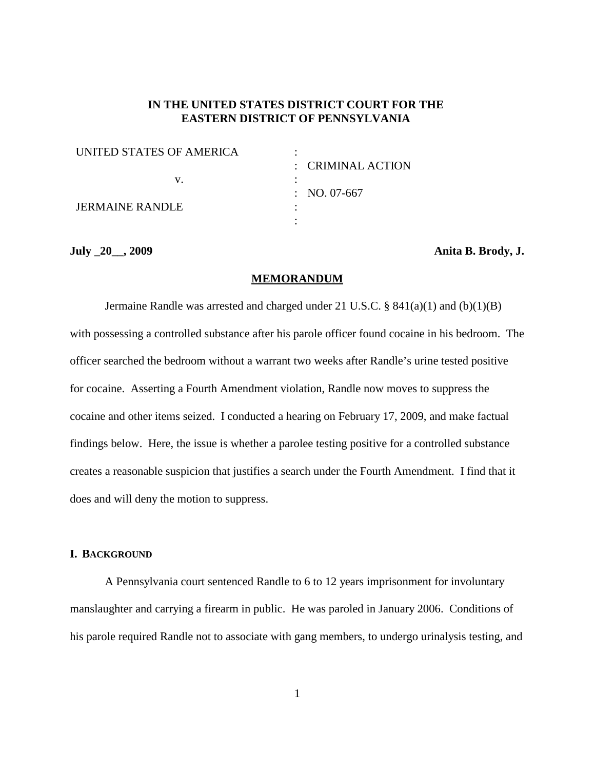# **IN THE UNITED STATES DISTRICT COURT FOR THE EASTERN DISTRICT OF PENNSYLVANIA**

| UNITED STATES OF AMERICA |                              |
|--------------------------|------------------------------|
|                          | $\therefore$ CRIMINAL ACTION |
|                          |                              |
|                          | : NO. 07-667                 |
| <b>JERMAINE RANDLE</b>   |                              |
|                          |                              |

**July \_20\_\_, 2009 Anita B. Brody, J.**

## **MEMORANDUM**

Jermaine Randle was arrested and charged under 21 U.S.C. § 841(a)(1) and (b)(1)(B) with possessing a controlled substance after his parole officer found cocaine in his bedroom. The officer searched the bedroom without a warrant two weeks after Randle's urine tested positive for cocaine. Asserting a Fourth Amendment violation, Randle now moves to suppress the cocaine and other items seized. I conducted a hearing on February 17, 2009, and make factual findings below. Here, the issue is whether a parolee testing positive for a controlled substance creates a reasonable suspicion that justifies a search under the Fourth Amendment. I find that it does and will deny the motion to suppress.

## **I. BACKGROUND**

A Pennsylvania court sentenced Randle to 6 to 12 years imprisonment for involuntary manslaughter and carrying a firearm in public. He was paroled in January 2006. Conditions of his parole required Randle not to associate with gang members, to undergo urinalysis testing, and

1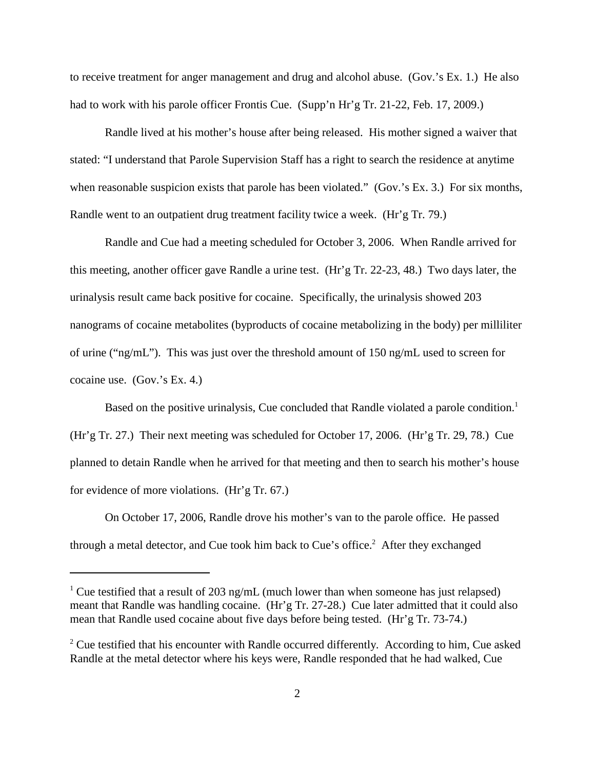to receive treatment for anger management and drug and alcohol abuse. (Gov.'s Ex. 1.) He also had to work with his parole officer Frontis Cue. (Supp'n Hr'g Tr. 21-22, Feb. 17, 2009.)

Randle lived at his mother's house after being released. His mother signed a waiver that stated: "I understand that Parole Supervision Staff has a right to search the residence at anytime when reasonable suspicion exists that parole has been violated." (Gov.'s Ex. 3.) For six months, Randle went to an outpatient drug treatment facility twice a week. (Hr'g Tr. 79.)

Randle and Cue had a meeting scheduled for October 3, 2006. When Randle arrived for this meeting, another officer gave Randle a urine test. (Hr'g Tr. 22-23, 48.) Two days later, the urinalysis result came back positive for cocaine. Specifically, the urinalysis showed 203 nanograms of cocaine metabolites (byproducts of cocaine metabolizing in the body) per milliliter of urine ("ng/mL"). This was just over the threshold amount of 150 ng/mL used to screen for cocaine use. (Gov.'s Ex. 4.)

Based on the positive urinalysis, Cue concluded that Randle violated a parole condition. 1 (Hr'g Tr. 27.) Their next meeting was scheduled for October 17, 2006. (Hr'g Tr. 29, 78.) Cue planned to detain Randle when he arrived for that meeting and then to search his mother's house for evidence of more violations. (Hr'g Tr. 67.)

On October 17, 2006, Randle drove his mother's van to the parole office. He passed through a metal detector, and Cue took him back to Cue's office.<sup>2</sup> After they exchanged

<sup>&</sup>lt;sup>1</sup> Cue testified that a result of 203 ng/mL (much lower than when someone has just relapsed) meant that Randle was handling cocaine. (Hr'g Tr. 27-28.) Cue later admitted that it could also mean that Randle used cocaine about five days before being tested. (Hr'g Tr. 73-74.)

 $2^{\circ}$  Cue testified that his encounter with Randle occurred differently. According to him, Cue asked Randle at the metal detector where his keys were, Randle responded that he had walked, Cue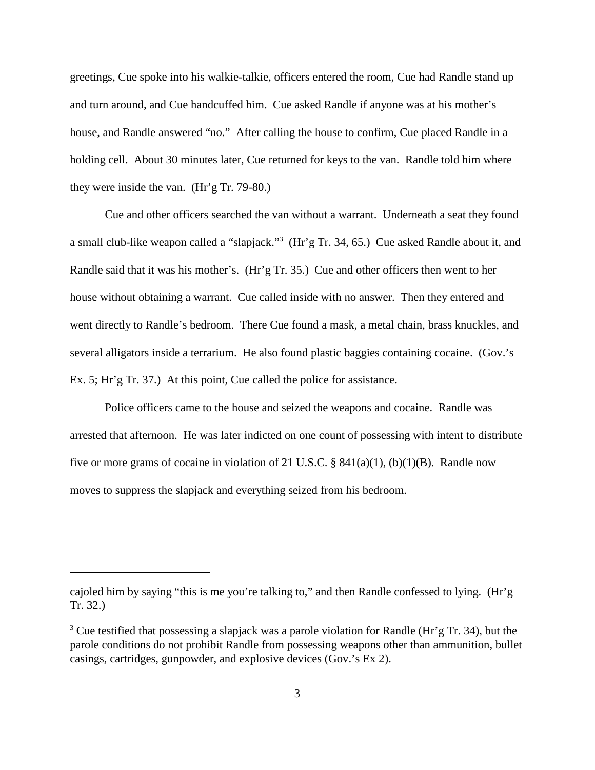greetings, Cue spoke into his walkie-talkie, officers entered the room, Cue had Randle stand up and turn around, and Cue handcuffed him. Cue asked Randle if anyone was at his mother's house, and Randle answered "no." After calling the house to confirm, Cue placed Randle in a holding cell. About 30 minutes later, Cue returned for keys to the van. Randle told him where they were inside the van. (Hr'g Tr. 79-80.)

Cue and other officers searched the van without a warrant. Underneath a seat they found a small club-like weapon called a "slapjack."3 (Hr'g Tr. 34, 65.) Cue asked Randle about it, and Randle said that it was his mother's. (Hr'g Tr. 35.) Cue and other officers then went to her house without obtaining a warrant. Cue called inside with no answer. Then they entered and went directly to Randle's bedroom. There Cue found a mask, a metal chain, brass knuckles, and several alligators inside a terrarium. He also found plastic baggies containing cocaine. (Gov.'s Ex. 5; Hr'g Tr. 37.) At this point, Cue called the police for assistance.

Police officers came to the house and seized the weapons and cocaine. Randle was arrested that afternoon. He was later indicted on one count of possessing with intent to distribute five or more grams of cocaine in violation of 21 U.S.C. §  $841(a)(1)$ , (b)(1)(B). Randle now moves to suppress the slapjack and everything seized from his bedroom.

cajoled him by saying "this is me you're talking to," and then Randle confessed to lying. (Hr'g Tr. 32.)

<sup>&</sup>lt;sup>3</sup> Cue testified that possessing a slapjack was a parole violation for Randle (Hr'g Tr. 34), but the parole conditions do not prohibit Randle from possessing weapons other than ammunition, bullet casings, cartridges, gunpowder, and explosive devices (Gov.'s Ex 2).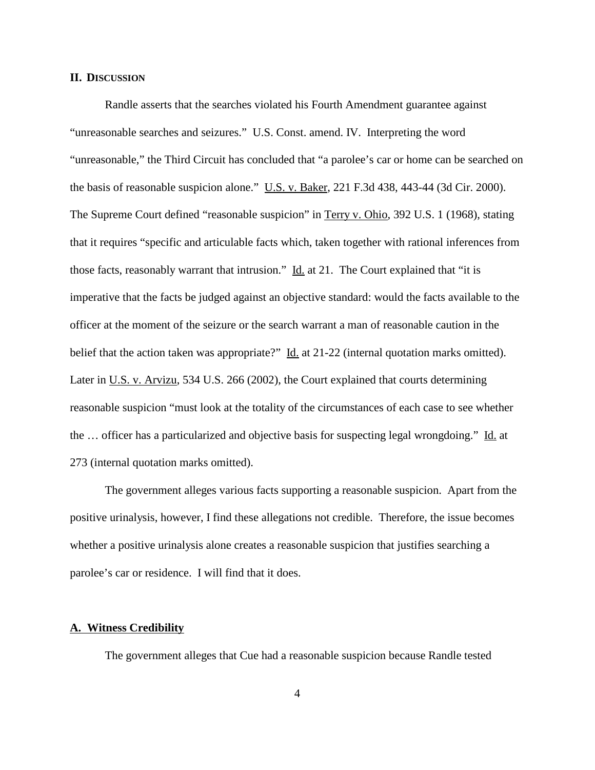## **II. DISCUSSION**

Randle asserts that the searches violated his Fourth Amendment guarantee against "unreasonable searches and seizures." U.S. Const. amend. IV. Interpreting the word "unreasonable," the Third Circuit has concluded that "a parolee's car or home can be searched on the basis of reasonable suspicion alone." U.S. v. Baker, 221 F.3d 438, 443-44 (3d Cir. 2000). The Supreme Court defined "reasonable suspicion" in Terry v. Ohio, 392 U.S. 1 (1968), stating that it requires "specific and articulable facts which, taken together with rational inferences from those facts, reasonably warrant that intrusion." Id. at 21. The Court explained that "it is imperative that the facts be judged against an objective standard: would the facts available to the officer at the moment of the seizure or the search warrant a man of reasonable caution in the belief that the action taken was appropriate?" Id. at 21-22 (internal quotation marks omitted). Later in U.S. v. Arvizu, 534 U.S. 266 (2002), the Court explained that courts determining reasonable suspicion "must look at the totality of the circumstances of each case to see whether the … officer has a particularized and objective basis for suspecting legal wrongdoing." Id. at 273 (internal quotation marks omitted).

The government alleges various facts supporting a reasonable suspicion. Apart from the positive urinalysis, however, I find these allegations not credible. Therefore, the issue becomes whether a positive urinalysis alone creates a reasonable suspicion that justifies searching a parolee's car or residence. I will find that it does.

#### **A. Witness Credibility**

The government alleges that Cue had a reasonable suspicion because Randle tested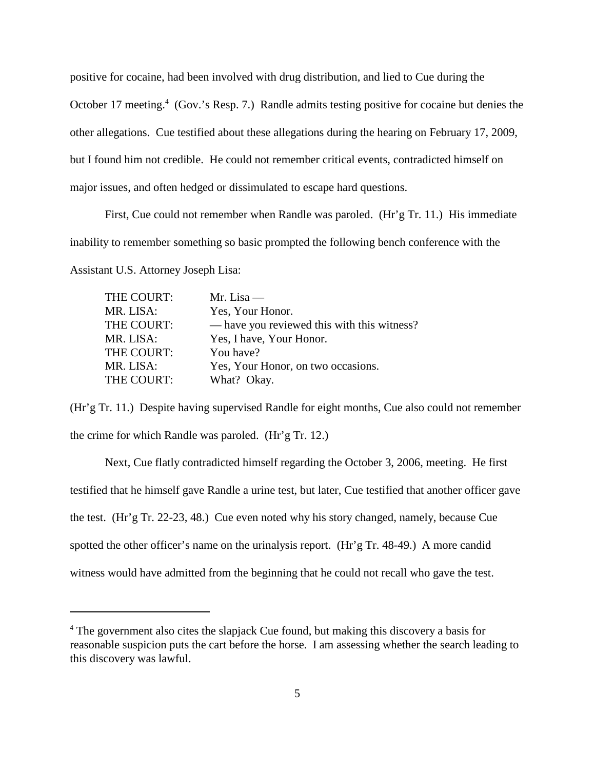positive for cocaine, had been involved with drug distribution, and lied to Cue during the October 17 meeting.<sup>4</sup> (Gov.'s Resp. 7.) Randle admits testing positive for cocaine but denies the other allegations. Cue testified about these allegations during the hearing on February 17, 2009, but I found him not credible. He could not remember critical events, contradicted himself on major issues, and often hedged or dissimulated to escape hard questions.

First, Cue could not remember when Randle was paroled. (Hr'g Tr. 11.) His immediate inability to remember something so basic prompted the following bench conference with the Assistant U.S. Attorney Joseph Lisa:

| THE COURT: | Mr. Lisa $-$                                |
|------------|---------------------------------------------|
| MR. LISA:  | Yes, Your Honor.                            |
| THE COURT: | — have you reviewed this with this witness? |
| MR. LISA:  | Yes, I have, Your Honor.                    |
| THE COURT: | You have?                                   |
| MR. LISA:  | Yes, Your Honor, on two occasions.          |
| THE COURT: | What? Okay.                                 |

(Hr'g Tr. 11.) Despite having supervised Randle for eight months, Cue also could not remember the crime for which Randle was paroled. (Hr'g Tr. 12.)

Next, Cue flatly contradicted himself regarding the October 3, 2006, meeting. He first testified that he himself gave Randle a urine test, but later, Cue testified that another officer gave the test. (Hr'g Tr. 22-23, 48.) Cue even noted why his story changed, namely, because Cue spotted the other officer's name on the urinalysis report. (Hr'g Tr. 48-49.) A more candid witness would have admitted from the beginning that he could not recall who gave the test.

<sup>&</sup>lt;sup>4</sup> The government also cites the slapjack Cue found, but making this discovery a basis for reasonable suspicion puts the cart before the horse. I am assessing whether the search leading to this discovery was lawful.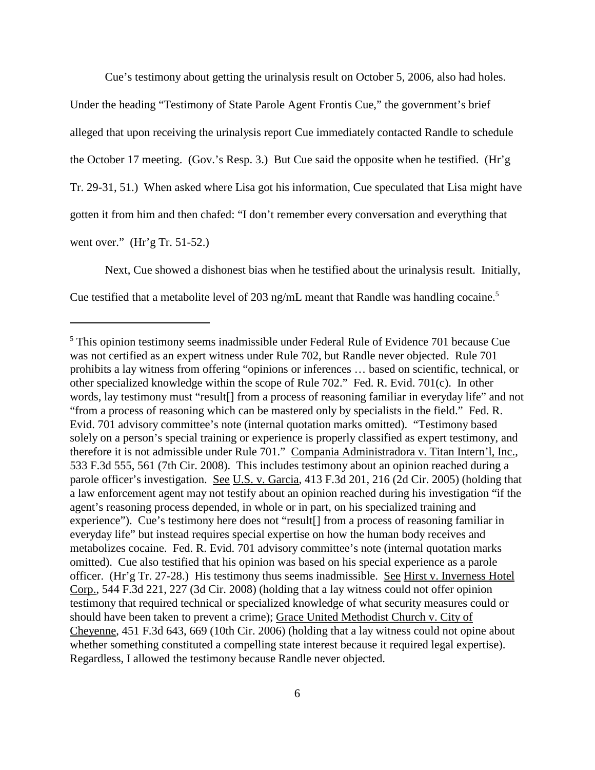Cue's testimony about getting the urinalysis result on October 5, 2006, also had holes.

Under the heading "Testimony of State Parole Agent Frontis Cue," the government's brief alleged that upon receiving the urinalysis report Cue immediately contacted Randle to schedule the October 17 meeting. (Gov.'s Resp. 3.) But Cue said the opposite when he testified. (Hr'g Tr. 29-31, 51.) When asked where Lisa got his information, Cue speculated that Lisa might have gotten it from him and then chafed: "I don't remember every conversation and everything that went over." (Hr'g Tr. 51-52.)

Next, Cue showed a dishonest bias when he testified about the urinalysis result. Initially, Cue testified that a metabolite level of 203 ng/mL meant that Randle was handling cocaine. 5

<sup>5</sup> This opinion testimony seems inadmissible under Federal Rule of Evidence 701 because Cue was not certified as an expert witness under Rule 702, but Randle never objected. Rule 701 prohibits a lay witness from offering "opinions or inferences … based on scientific, technical, or other specialized knowledge within the scope of Rule 702." Fed. R. Evid. 701(c). In other words, lay testimony must "result[] from a process of reasoning familiar in everyday life" and not "from a process of reasoning which can be mastered only by specialists in the field." Fed. R. Evid. 701 advisory committee's note (internal quotation marks omitted). "Testimony based solely on a person's special training or experience is properly classified as expert testimony, and therefore it is not admissible under Rule 701." Compania Administradora v. Titan Intern'l, Inc., 533 F.3d 555, 561 (7th Cir. 2008). This includes testimony about an opinion reached during a parole officer's investigation. See U.S. v. Garcia, 413 F.3d 201, 216 (2d Cir. 2005) (holding that a law enforcement agent may not testify about an opinion reached during his investigation "if the agent's reasoning process depended, in whole or in part, on his specialized training and experience"). Cue's testimony here does not "result[] from a process of reasoning familiar in everyday life" but instead requires special expertise on how the human body receives and metabolizes cocaine. Fed. R. Evid. 701 advisory committee's note (internal quotation marks omitted). Cue also testified that his opinion was based on his special experience as a parole officer. (Hr'g Tr. 27-28.) His testimony thus seems inadmissible. See Hirst v. Inverness Hotel Corp., 544 F.3d 221, 227 (3d Cir. 2008) (holding that a lay witness could not offer opinion testimony that required technical or specialized knowledge of what security measures could or should have been taken to prevent a crime); Grace United Methodist Church v. City of Cheyenne, 451 F.3d 643, 669 (10th Cir. 2006) (holding that a lay witness could not opine about whether something constituted a compelling state interest because it required legal expertise). Regardless, I allowed the testimony because Randle never objected.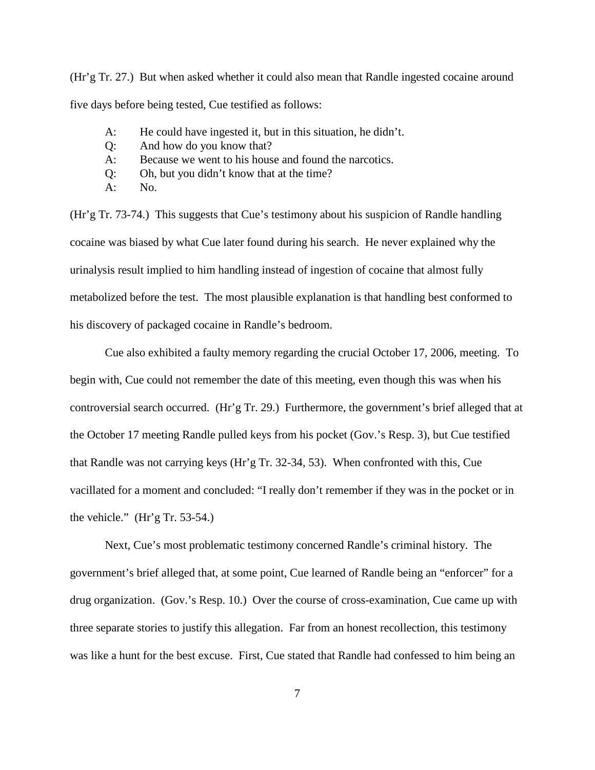(Hr'g Tr. 27.) But when asked whether it could also mean that Randle ingested cocaine around five days before being tested, Cue testified as follows:

- A: He could have ingested it, but in this situation, he didn't.
- Q: And how do you know that?
- A: Because we went to his house and found the narcotics.
- Q: Oh, but you didn't know that at the time?
- A: No.

(Hr'g Tr. 73-74.) This suggests that Cue's testimony about his suspicion of Randle handling cocaine was biased by what Cue later found during his search. He never explained why the urinalysis result implied to him handling instead of ingestion of cocaine that almost fully metabolized before the test. The most plausible explanation is that handling best conformed to his discovery of packaged cocaine in Randle's bedroom.

Cue also exhibited a faulty memory regarding the crucial October 17, 2006, meeting. To begin with, Cue could not remember the date of this meeting, even though this was when his controversial search occurred. (Hr'g Tr. 29.) Furthermore, the government's brief alleged that at the October 17 meeting Randle pulled keys from his pocket (Gov.'s Resp. 3), but Cue testified that Randle was not carrying keys (Hr'g Tr. 32-34, 53). When confronted with this, Cue vacillated for a moment and concluded: "I really don't remember if they was in the pocket or in the vehicle." (Hr'g Tr. 53-54.)

Next, Cue's most problematic testimony concerned Randle's criminal history. The government's brief alleged that, at some point, Cue learned of Randle being an "enforcer" for a drug organization. (Gov.'s Resp. 10.) Over the course of cross-examination, Cue came up with three separate stories to justify this allegation. Far from an honest recollection, this testimony was like a hunt for the best excuse. First, Cue stated that Randle had confessed to him being an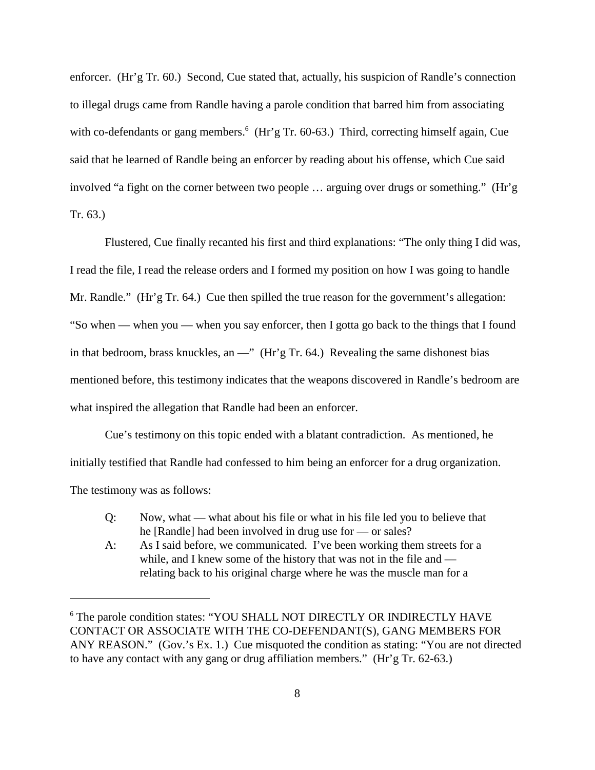enforcer. (Hr'g Tr. 60.) Second, Cue stated that, actually, his suspicion of Randle's connection to illegal drugs came from Randle having a parole condition that barred him from associating with co-defendants or gang members.<sup>6</sup> (Hr'g Tr. 60-63.) Third, correcting himself again, Cue said that he learned of Randle being an enforcer by reading about his offense, which Cue said involved "a fight on the corner between two people … arguing over drugs or something." (Hr'g Tr. 63.)

Flustered, Cue finally recanted his first and third explanations: "The only thing I did was, I read the file, I read the release orders and I formed my position on how I was going to handle Mr. Randle." (Hr'g Tr. 64.) Cue then spilled the true reason for the government's allegation: "So when — when you — when you say enforcer, then I gotta go back to the things that I found in that bedroom, brass knuckles, an —" (Hr'g Tr. 64.) Revealing the same dishonest bias mentioned before, this testimony indicates that the weapons discovered in Randle's bedroom are what inspired the allegation that Randle had been an enforcer.

Cue's testimony on this topic ended with a blatant contradiction. As mentioned, he initially testified that Randle had confessed to him being an enforcer for a drug organization. The testimony was as follows:

- Q: Now, what what about his file or what in his file led you to believe that he [Randle] had been involved in drug use for — or sales?
- A: As I said before, we communicated. I've been working them streets for a while, and I knew some of the history that was not in the file and relating back to his original charge where he was the muscle man for a

<sup>&</sup>lt;sup>6</sup> The parole condition states: "YOU SHALL NOT DIRECTLY OR INDIRECTLY HAVE CONTACT OR ASSOCIATE WITH THE CO-DEFENDANT(S), GANG MEMBERS FOR ANY REASON." (Gov.'s Ex. 1.) Cue misquoted the condition as stating: "You are not directed to have any contact with any gang or drug affiliation members." (Hr'g Tr. 62-63.)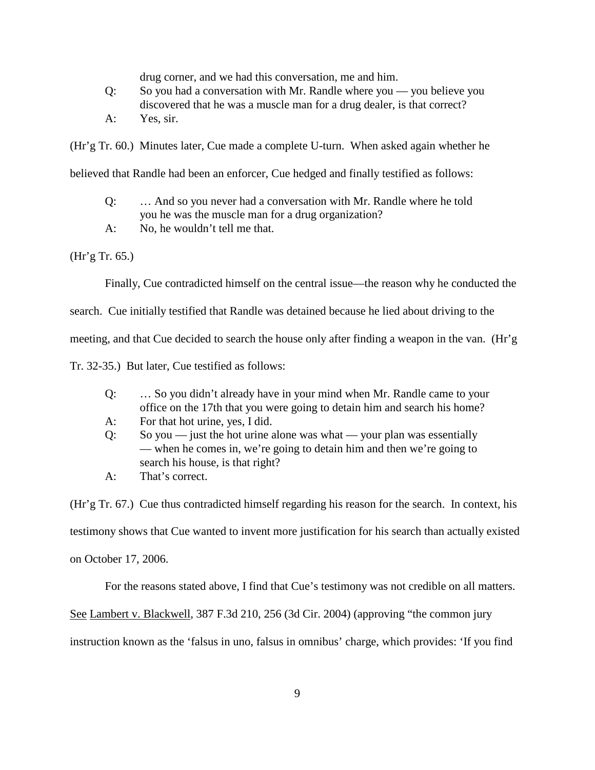drug corner, and we had this conversation, me and him.

- Q: So you had a conversation with Mr. Randle where you you believe you discovered that he was a muscle man for a drug dealer, is that correct?
- A: Yes, sir.

(Hr'g Tr. 60.) Minutes later, Cue made a complete U-turn. When asked again whether he

believed that Randle had been an enforcer, Cue hedged and finally testified as follows:

- Q: … And so you never had a conversation with Mr. Randle where he told you he was the muscle man for a drug organization?
- A: No, he wouldn't tell me that.

(Hr'g Tr. 65.)

Finally, Cue contradicted himself on the central issue—the reason why he conducted the

search. Cue initially testified that Randle was detained because he lied about driving to the

meeting, and that Cue decided to search the house only after finding a weapon in the van. (Hr'g

Tr. 32-35.) But later, Cue testified as follows:

- Q: … So you didn't already have in your mind when Mr. Randle came to your office on the 17th that you were going to detain him and search his home?
- A: For that hot urine, yes, I did.
- $Q:$  So you just the hot urine alone was what your plan was essentially — when he comes in, we're going to detain him and then we're going to search his house, is that right?
- A: That's correct.

(Hr'g Tr. 67.) Cue thus contradicted himself regarding his reason for the search. In context, his

testimony shows that Cue wanted to invent more justification for his search than actually existed

on October 17, 2006.

For the reasons stated above, I find that Cue's testimony was not credible on all matters.

See Lambert v. Blackwell, 387 F.3d 210, 256 (3d Cir. 2004) (approving "the common jury

instruction known as the 'falsus in uno, falsus in omnibus' charge, which provides: 'If you find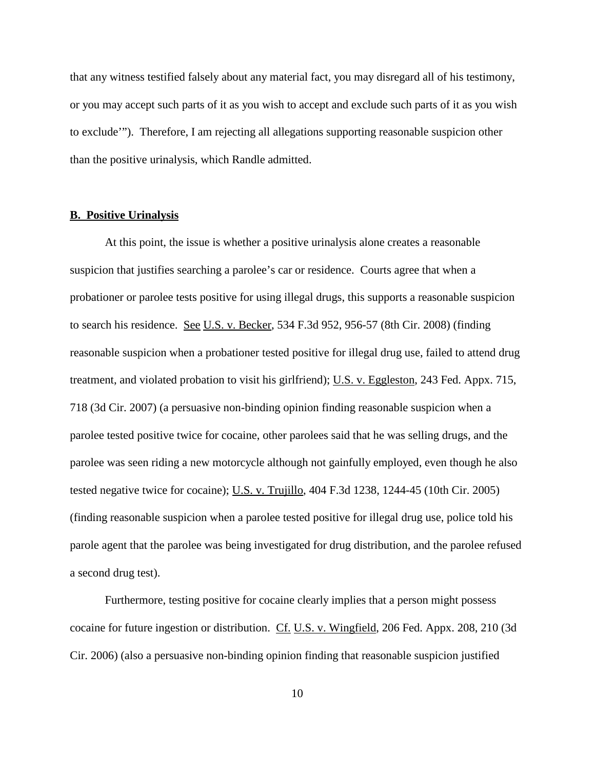that any witness testified falsely about any material fact, you may disregard all of his testimony, or you may accept such parts of it as you wish to accept and exclude such parts of it as you wish to exclude'"). Therefore, I am rejecting all allegations supporting reasonable suspicion other than the positive urinalysis, which Randle admitted.

## **B. Positive Urinalysis**

At this point, the issue is whether a positive urinalysis alone creates a reasonable suspicion that justifies searching a parolee's car or residence. Courts agree that when a probationer or parolee tests positive for using illegal drugs, this supports a reasonable suspicion to search his residence. See U.S. v. Becker, 534 F.3d 952, 956-57 (8th Cir. 2008) (finding reasonable suspicion when a probationer tested positive for illegal drug use, failed to attend drug treatment, and violated probation to visit his girlfriend); U.S. v. Eggleston, 243 Fed. Appx. 715, 718 (3d Cir. 2007) (a persuasive non-binding opinion finding reasonable suspicion when a parolee tested positive twice for cocaine, other parolees said that he was selling drugs, and the parolee was seen riding a new motorcycle although not gainfully employed, even though he also tested negative twice for cocaine); U.S. v. Trujillo, 404 F.3d 1238, 1244-45 (10th Cir. 2005) (finding reasonable suspicion when a parolee tested positive for illegal drug use, police told his parole agent that the parolee was being investigated for drug distribution, and the parolee refused a second drug test).

Furthermore, testing positive for cocaine clearly implies that a person might possess cocaine for future ingestion or distribution. Cf. U.S. v. Wingfield, 206 Fed. Appx. 208, 210 (3d Cir. 2006) (also a persuasive non-binding opinion finding that reasonable suspicion justified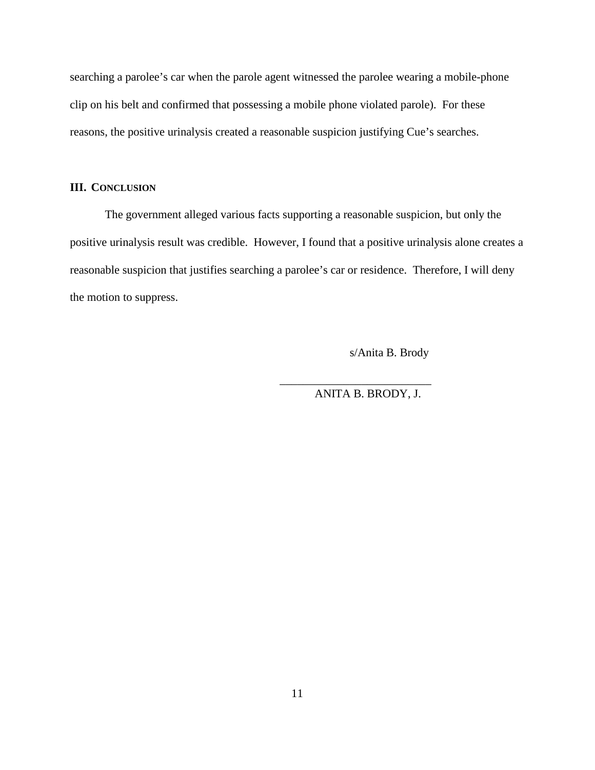searching a parolee's car when the parole agent witnessed the parolee wearing a mobile-phone clip on his belt and confirmed that possessing a mobile phone violated parole). For these reasons, the positive urinalysis created a reasonable suspicion justifying Cue's searches.

# **III. CONCLUSION**

The government alleged various facts supporting a reasonable suspicion, but only the positive urinalysis result was credible. However, I found that a positive urinalysis alone creates a reasonable suspicion that justifies searching a parolee's car or residence. Therefore, I will deny the motion to suppress.

s/Anita B. Brody

ANITA B. BRODY, J.

\_\_\_\_\_\_\_\_\_\_\_\_\_\_\_\_\_\_\_\_\_\_\_\_\_\_